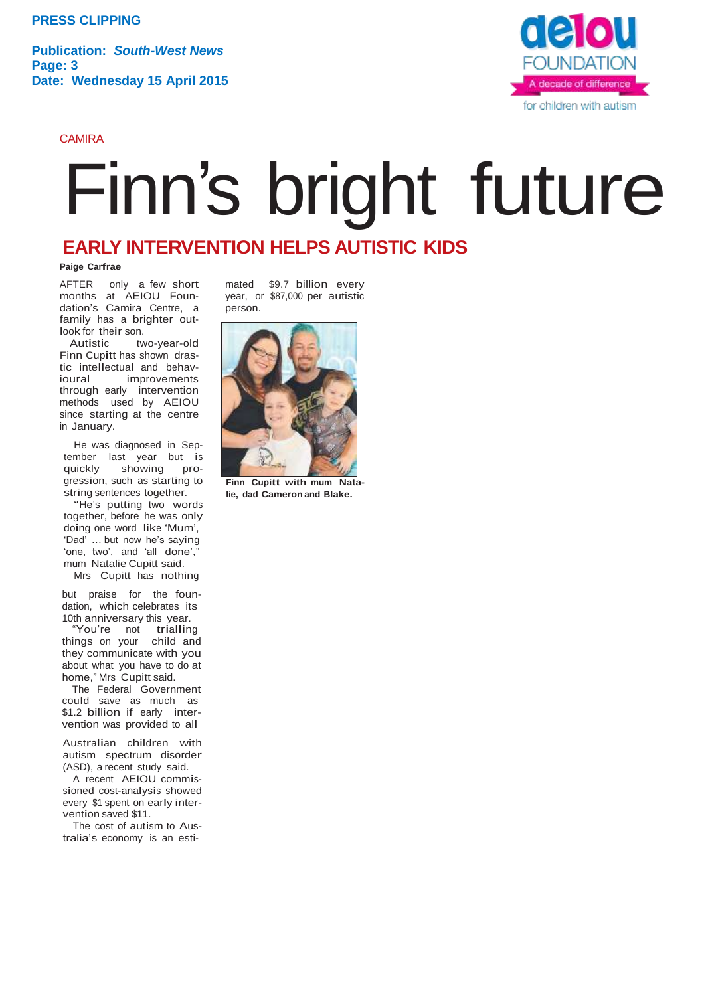**Publication:** *South-West News* **Page: 3 Date: Wednesday 15 April 2015**

CAMIRA



## Finn's bright future

## **EARLY INTERVENTION HELPS AUTISTIC KIDS**

## **Paige Carfrae**

AFTER only a few short months at AEIOU Foundation's Camira Centre, a family has a brighter outlook for their son.<br>Autistic tw

two-year-old Finn Cupitt has shown drastic intellectual and behav-<br>ioural improvements improvements through early intervention methods used by AEIOU since starting at the centre in January.

He was diagnosed in September last year but is<br>quickly showing proshowing progression, such as starting to string sentences together.

"He's putting two words together, before he was only doing one word like 'Mum', 'Dad' … but now he's saying 'one, two', and 'all done', mum Natalie Cupitt said.

Mrs Cupitt has nothing

but praise for the foundation, which celebrates its 10th anniversary this year.

"You're not trialling things on your child and they communicate with you about what you have to do at home," Mrs Cupitt said.

The Federal Government could save as much as \$1.2 billion if early intervention was provided to all

Australian children with autism spectrum disorder (ASD), a recent study said.

<sup>A</sup> recent AEIOU commissioned cost-analysis showed every \$1 spent on early intervention saved \$11.

The cost of autism to Australia's economy is an esti-

mated \$9.7 billion every year, or \$87,000 per autistic person.



**Finn Cupitt with mum Natalie, dad Cameron and Blake.**